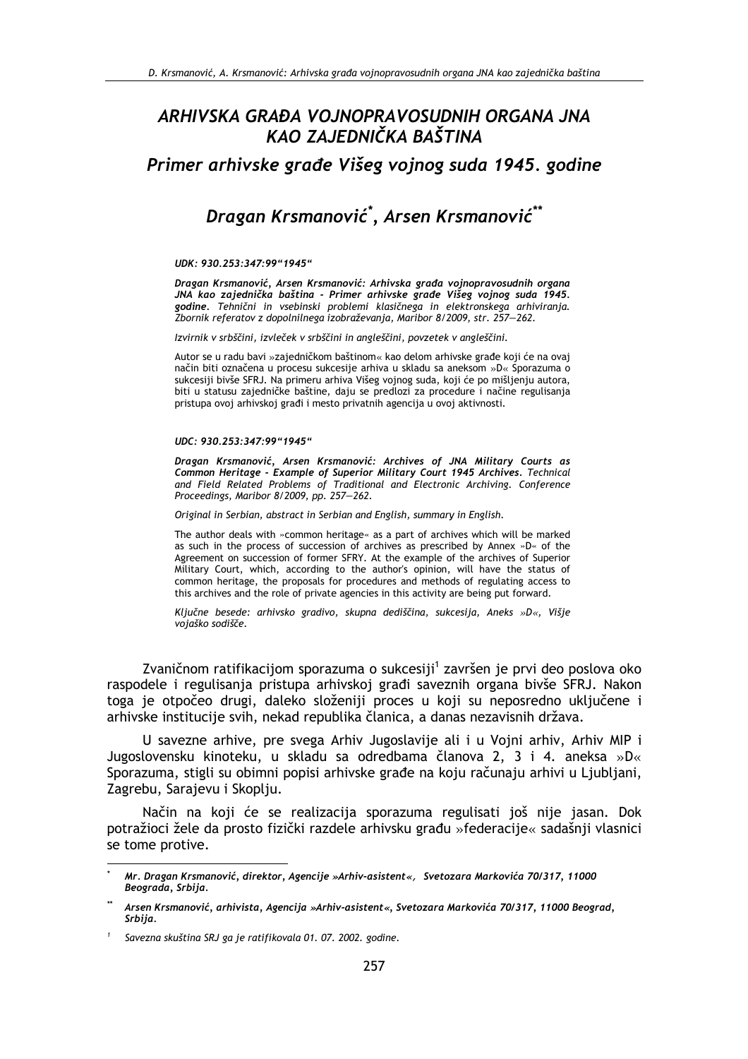## ARHIVSKA GRAĐA VOJNOPRAVOSUDNIH ORGANA JNA KAO ZAJEDNIČKA BAŠTINA

Primer arhivske građe Višeg vojnog suda 1945. godine

# Dragan Krsmanović\*, Arsen Krsmanović\*\*

UDK: 930.253:347:99"1945"

Dragan Krsmanović, Arsen Krsmanović: Arhivska građa vojnopravosudnih organa godine. Tehnični in vsebinski problemi klasičnega in elektronskega arhiviranja. Zbornik referatov z dopolnilnega izobraževanja, Maribor 8/2009, str. 257–262.

Izvirnik v srbščini, izvleček v srbščini in angleščini, povzetek v angleščini.

Autor se u radu bavi »zajedničkom baštinom« kao delom arhivske građe koji će na ovaj način biti označena u procesu sukcesije arhiva u skladu sa aneksom »D« Sporazuma o sukcesiji bivše SFRJ. Na primeru arhiva Višeg vojnog suda, koji će po mišljenju autora, biti u statusu zajedničke baštine, daju se predlozi za procedure i načine regulisanja pristupa ovoj arhivskoj građi i mesto privatnih agencija u ovoj aktivnosti.

#### UDC: 930.253:347:99"1945"

Dragan Krsmanović, Arsen Krsmanović: Archives of JNA Military Courts as Common Heritage - Example of Superior Military Court 1945 Archives. Technical and Field Related Problems of Traditional and Electronic Archiving. Conference Proceedings, Maribor 8/2009, pp. 257-262.

Original in Serbian, abstract in Serbian and English, summary in English.

The author deals with »common heritage« as a part of archives which will be marked as such in the process of succession of archives as prescribed by Annex »D« of the Agreement on succession of former SFRY. At the example of the archives of Superior Military Court, which, according to the author's opinion, will have the status of common heritage, the proposals for procedures and methods of regulating access to this archives and the role of private agencies in this activity are being put forward.

Ključne besede: arhivsko gradivo, skupna dediščina, sukcesija, Aneks »D«, Višje vojaško sodišče.

Zvaničnom ratifikacijom sporazuma o sukcesiji<sup>1</sup> završen je prvi deo poslova oko raspodele i regulisanja pristupa arhivskoj građi saveznih organa bivše SFRJ. Nakon toga je otpočeo drugi, daleko složeniji proces u koji su neposredno uključene i arhivske institucije svih, nekad republika članica, a danas nezavisnih država.

U savezne arhive, pre svega Arhiv Jugoslavije ali i u Vojni arhiv, Arhiv MIP i Jugoslovensku kinoteku, u skladu sa odredbama članova 2, 3 i 4. aneksa »D« Sporazuma, stigli su obimni popisi arhivske građe na koju računaju arhivi u Ljubljani, Zagrebu, Sarajevu i Skoplju.

Način na koji će se realizacija sporazuma regulisati još nije jasan. Dok potražioci žele da prosto fizički razdele arhivsku građu »federacije« sadašnji vlasnici se tome protive.

Mr. Dragan Krsmanović, direktor, Agencije »Arhiv-asistent«, Svetozara Markovića 70/317, 11000 Beograda, Srbiia.

Arsen Krsmanović, arhivista, Agencija »Arhiv-asistent«, Svetozara Markovića 70/317, 11000 Beograd, Srbiia.

Savezna skuština SRJ ga je ratifikovala 01. 07. 2002. godine.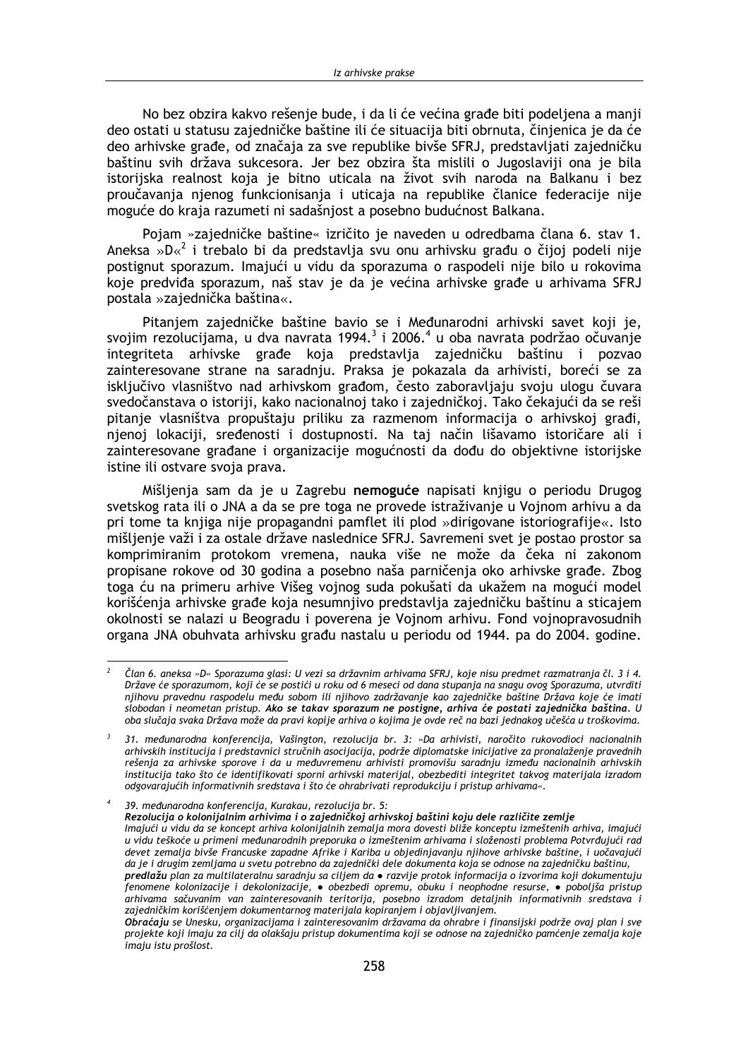No bez obzira kakvo rešenie bude, i da li će većina građe biti podeljena a manji deo ostati u statusu zajedničke baštine ili će situacija biti obrnuta, činjenica je da će deo arhivske građe, od značaja za sve republike bivše SFRJ, predstavljati zajedničku baštinu svih država sukcesora. Jer bez obzira šta mislili o Jugoslaviji ona je bila istorijska realnost koja je bitno uticala na život svih naroda na Balkanu i bez proučavanja njenog funkcionisanja i uticaja na republike članice federacije nije moguće do kraja razumeti ni sadašnjost a posebno budućnost Balkana.

Pojam »zajedničke baštine« izričito je naveden u odredbama člana 6. stav 1. Aneksa » $D \kappa^2$  i trebalo bi da predstavlja svu onu arhivsku građu o čijoj podeli nije postignut sporazum. Imajući u vidu da sporazuma o raspodeli nije bilo u rokovima koje predviđa sporazum, naš stav je da je većina arhivske građe u arhivama SFRJ postala »zajednička baština«.

Pitanjem zajedničke baštine bavio se i Međunarodni arhivski savet koji je, svojim rezolucijama, u dva navrata 1994.<sup>3</sup> i 2006.<sup>4</sup> u oba navrata podržao očuvanje integriteta arhivske građe koja predstavlja zajedničku baštinu i pozvao zainteresovane strane na saradnju. Praksa je pokazala da arhivisti, boreći se za isključivo vlasništvo nad arhivskom građom, često zaboravljaju svoju ulogu čuvara svedočanstava o istoriji, kako nacionalnoj tako i zajedničkoj. Tako čekajući da se reši pitanje vlasništva propuštaju priliku za razmenom informacija o arhivskoj građi, njenoj lokaciji, sređenosti i dostupnosti. Na taj način lišavamo istoričare ali i zainteresovane građane i organizacije mogućnosti da dođu do objektivne istorijske istine ili ostvare svoja prava.

Mišljenja sam da je u Zagrebu nemoguće napisati knjigu o periodu Drugog svetskog rata ili o JNA a da se pre toga ne provede istraživanje u Vojnom arhivu a da pri tome ta knjiga nije propagandni pamflet ili plod »dirigovane istoriografije«, Isto mišljenje važi i za ostale države naslednice SFRJ. Savremeni svet je postao prostor sa komprimiranim protokom vremena, nauka više ne može da čeka ni zakonom propisane rokove od 30 godina a posebno naša parničenja oko arhivske građe. Zbog toga ću na primeru arhive Višeg vojnog suda pokušati da ukažem na mogući model korišćenja arhivske građe koja nesumnjivo predstavlja zajedničku baštinu a sticajem okolnosti se nalazi u Beogradu i poverena je Vojnom arhivu. Fond vojnopravosudnih organa JNA obuhvata arhivsku građu nastalu u periodu od 1944. pa do 2004. godine.

Član 6. aneksa »D« Sporazuma glasi: U vezi sa državnim arhivama SFRJ, koje nisu predmet razmatranja čl. 3 i 4. Države će sporazumom, koji će se postići u roku od 6 meseci od dana stupanja na snagu ovog Sporazuma, utvrditi njihovu pravednu raspodelu među sobom ili njihovo zadržavanje kao zajedničke baštine Država koje će imati slobodan i neometan pristup. Ako se takav sporazum ne postigne, arhiva će postati zajednička baština. U oba slučaja svaka Država može da pravi kopije arhiva o kojima je ovde reč na bazi jednakog učešća u troškovima.

 $\overline{\mathbf{3}}$ 31. međunarodna konferencija, Vašington, rezolucija br. 3: »Da arhivisti, naročito rukovodioci nacionalnih arhivskih institucija i predstavnici stručnih asocijacija, podrže diplomatske inicijative za pronalaženje pravednih rešenja za arhivske sporove i da u međuvremenu arhivisti promovišu saradnju između nacionalnih arhivskih institucija tako što će identifikovati sporni arhivski materijal, obezbediti integritet takvog materijala izradom odgovarajućih informativnih sredstava i što će ohrabrivati reprodukciju i pristup arhivama«.

<sup>39.</sup> međunarodna konferencija, Kurakau, rezolucija br. 5: Rezolucija o kolonijalnim arhivima i o zajedničkoj arhivskoj baštini koju dele različite zemlje Imajući u vidu da se koncept arhiva kolonijalnih zemalja mora dovesti bliže konceptu izmeštenih arhiva, imajući u vidu teškoće u primeni međunarodnih preporuka o izmeštenim arhivama i složenosti problema Potvrđujući rad devet zemalja bivše Francuske zapadne Afrike i Kariba u objedinjavanju njihove arhivske baštine, i uočavajući da je i drugim zemljama u svetu potrebno da zajednički dele dokumenta koja se odnose na zajedničku baštinu, predlažu plan za multilateralnu saradniu sa ciliem da • razvije protok informacija o izvorima koji dokumentuju fenomene kolonizacije i dekolonizacije, • obezbedi opremu, obuku i neophodne resurse, • poboljša pristup arhivama sačuvanim van zainteresovanih teritorija, posebno izradom detaljnih informativnih sredstava i zajedničkim korišćenjem dokumentarnog materijala kopiranjem i objavljivanjem.

Obraćaju se Unesku, organizacijama i zainteresovanim državama da ohrabre i finansijski podrže ovaj plan i sve projekte koji imaju za cilj da olakšaju pristup dokumentima koji se odnose na zajedničko pamćenje zemalja koje imaju istu prošlost.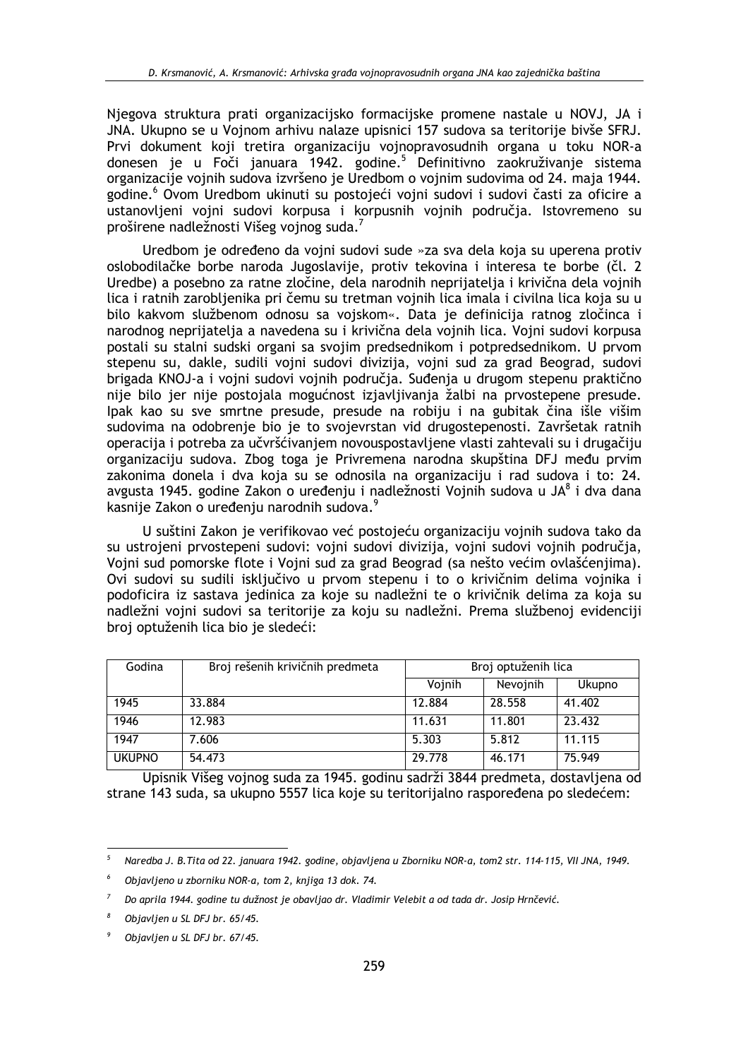Njegova struktura prati organizacijsko formacijske promene nastale u NOVJ, JA i JNA. Ukupno se u Vojnom arhivu nalaze upisnici 157 sudova sa teritorije bivše SFRJ. Prvi dokument koji tretira organizaciju vojnopravosudnih organa u toku NOR-a donesen je u Foči januara 1942. godine.<sup>5</sup> Definitivno zaokruživanje sistema organizacije vojnih sudova izvršeno je Uredbom o vojnim sudovima od 24. maja 1944. godine.<sup>6</sup> Ovom Uredbom ukinuti su postojeći vojni sudovi i sudovi časti za oficire a ustanovljeni vojni sudovi korpusa i korpusnih vojnih područja. Istovremeno su proširene nadležnosti Višeg vojnog suda.<sup>7</sup>

Uredbom je određeno da vojni sudovi sude »za sva dela koja su uperena protiv oslobodilačke borbe naroda Jugoslavije, protiv tekovina i interesa te borbe (čl. 2 Uredbe) a posebno za ratne zločine, dela narodnih neprijatelja i krivična dela vojnih lica i ratnih zarobljenika pri čemu su tretman vojnih lica imala i civilna lica koja su u bilo kakvom službenom odnosu sa vojskom«. Data je definicija ratnog zločinca i narodnog neprijatelja a navedena su i krivična dela vojnih lica. Vojni sudovi korpusa postali su stalni sudski organi sa svojim predsednikom i potpredsednikom. U prvom stepenu su, dakle, sudili vojni sudovi divizija, vojni sud za grad Beograd, sudovi brigada KNOJ-a i vojni sudovi vojnih područja. Suđenja u drugom stepenu praktično nije bilo jer nije postojala mogućnost izjavljivanja žalbi na prvostepene presude. Ipak kao su sve smrtne presude, presude na robiju i na gubitak čina išle višim sudovima na odobrenje bio je to svojevrstan vid drugostepenosti. Završetak ratnih operacija i potreba za učvršćivanjem novouspostavljene vlasti zahtevali su i drugačiju organizaciju sudova. Zbog toga je Privremena narodna skupština DFJ među prvim zakonima donela i dva koja su se odnosila na organizaciju i rad sudova i to: 24. avgusta 1945. godine Zakon o uređenju i nadležnosti Vojnih sudova u JA<sup>8</sup> i dva dana kasnije Zakon o uređenju narodnih sudova.<sup>9</sup>

U suštini Zakon je verifikovao već postojeću organizaciju vojnih sudova tako da su ustrojeni prvostepeni sudovi: vojni sudovi divizija, vojni sudovi vojnih područia, Vojni sud pomorske flote i Vojni sud za grad Beograd (sa nešto većim ovlašćenjima). Ovi sudovi su sudili isključivo u prvom stepenu i to o krivičnim delima vojnika i podoficira iz sastava jedinica za koje su nadležni te o krivičnik delima za koja su nadležni vojni sudovi sa teritorije za koju su nadležni. Prema službenoj evidenciji broj optuženih lica bio je sledeći:

| Godina        | Broj rešenih krivičnih predmeta | Broj optuženih lica |          |               |
|---------------|---------------------------------|---------------------|----------|---------------|
|               |                                 | Vojnih              | Nevojnih | <b>Ukupno</b> |
| 1945          | 33.884                          | 12.884              | 28.558   | 41,402        |
| 1946          | 12.983                          | 11.631              | 11.801   | 23.432        |
| 1947          | 7.606                           | 5.303               | 5.812    | 11.115        |
| <b>UKUPNO</b> | 54.473                          | 29.778              | 46.171   | 75.949        |

Upisnik Višeg vojnog suda za 1945. godinu sadrži 3844 predmeta, dostavljena od strane 143 suda, sa ukupno 5557 lica koje su teritorijalno raspoređena po sledećem:

Naredba J. B. Tita od 22. januara 1942. godine, objavljena u Zborniku NOR-a, tom2 str. 114-115, VII JNA, 1949.

Objavljeno u zborniku NOR-a, tom 2, knijeg 13 dok. 74.

Do aprila 1944. godine tu dužnost je obavljao dr. Vladimir Velebit a od tada dr. Josip Hrnčević.

Obiavlien u SL DFJ br. 65/45.

Objavljen u SL DFJ br. 67/45.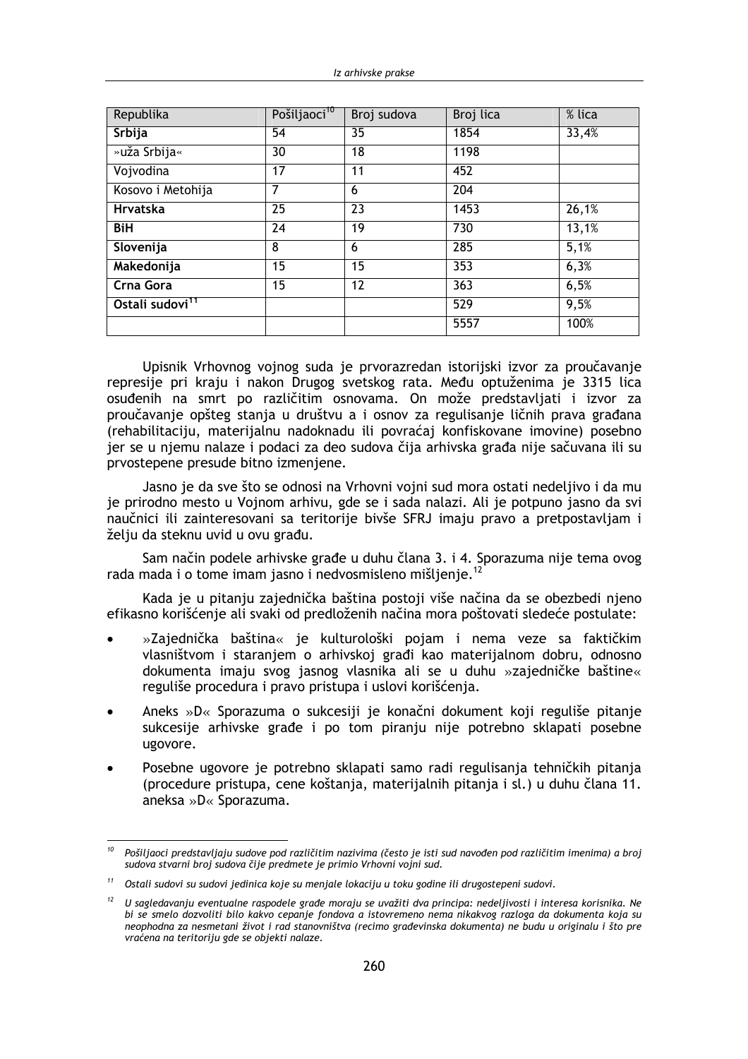| Republika                   | Pošiljaoci <sup>10</sup> | Broj sudova | Broj lica | % lica |
|-----------------------------|--------------------------|-------------|-----------|--------|
| Srbija                      | 54                       | 35          | 1854      | 33,4%  |
| »uža Srbija«                | 30                       | 18          | 1198      |        |
| Vojvodina                   | 17                       | 11          | 452       |        |
| Kosovo i Metohija           | 7                        | 6           | 204       |        |
| <b>Hrvatska</b>             | 25                       | 23          | 1453      | 26,1%  |
| <b>BiH</b>                  | 24                       | 19          | 730       | 13,1%  |
| Slovenija                   | 8                        | 6           | 285       | 5,1%   |
| Makedonija                  | 15                       | 15          | 353       | 6,3%   |
| Crna Gora                   | 15                       | 12          | 363       | 6,5%   |
| Ostali sudovi <sup>11</sup> |                          |             | 529       | 9,5%   |
|                             |                          |             | 5557      | 100%   |

Upisnik Vrhovnog vojnog suda je prvorazredan istorijski izvor za proučavanje represije pri kraju i nakon Drugog svetskog rata. Među optuženima je 3315 lica osuđenih na smrt po različitim osnovama. On može predstavljati i izvor za proučavanje opšteg stanja u društvu a i osnov za regulisanje ličnih prava građana (rehabilitaciju, materijalnu nadoknadu ili povraćaj konfiskovane imovine) posebno jer se u njemu nalaze i podaci za deo sudova čija arhivska građa nije sačuvana ili su prvostepene presude bitno izmenjene.

Jasno je da sve što se odnosi na Vrhovni vojni sud mora ostati nedeljivo i da mu je prirodno mesto u Vojnom arhivu, gde se i sada nalazi. Ali je potpuno jasno da svi naučnici ili zainteresovani sa teritorije bivše SFRJ imaju pravo a pretpostavljam i želju da steknu uvid u ovu građu.

Sam način podele arhivske građe u duhu člana 3. i 4. Sporazuma nije tema ovog rada mada i o tome imam jasno i nedvosmisleno mišlienie.<sup>12</sup>

Kada je u pitanju zajednička baština postoji više načina da se obezbedi njeno efikasno korišćenje ali svaki od predloženih načina mora poštovati sledeće postulate:

- »Zajednička baština« je kulturološki pojam i nema veze sa faktičkim vlasništvom i staranjem o arhivskoj građi kao materijalnom dobru, odnosno dokumenta imaju svog jasnog vlasnika ali se u duhu »zajedničke baštine« reguliše procedura i pravo pristupa i uslovi korišćenja.
- Aneks »D« Sporazuma o sukcesiji je konačni dokument koji reguliše pitanje sukcesije arhivske građe i po tom piranju nije potrebno sklapati posebne ugovore.
- Posebne ugovore je potrebno sklapati samo radi regulisanja tehničkih pitanja (procedure pristupa, cene koštanja, materijalnih pitanja i sl.) u duhu člana 11. aneksa »D« Sporazuma.

<sup>&</sup>lt;sup>10</sup> Pošiljaoci predstavljaju sudove pod različitim nazivima (često je isti sud navođen pod različitim imenima) a broj sudova stvarni broj sudova čije predmete je primio Vrhovni vojni sud.

 $11$ Ostali sudovi su sudovi jedinica koje su menjale lokaciju u toku godine ili drugostepeni sudovi.

 $12$  U sagledavanju eventualne raspodele građe moraju se uvažiti dva principa: nedeljivosti i interesa korisnika. Ne bi se smelo dozvoliti bilo kakvo cepanje fondova a istovremeno nema nikakvog razloga da dokumenta koja su neophodna za nesmetani život i rad stanovništva (recimo građevinska dokumenta) ne budu u originalu i što pre vraćena na teritoriju gde se objekti nalaze.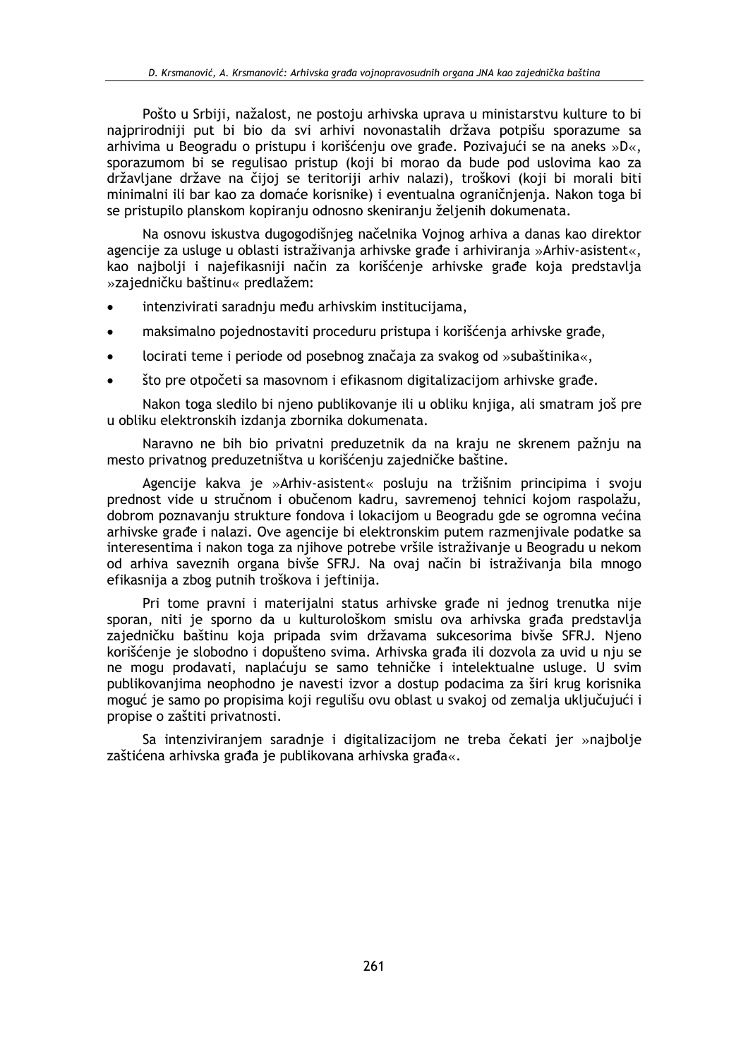Pošto u Srbiji, nažalost, ne postoju arhivska uprava u ministarstvu kulture to bi najprirodniji put bi bio da svi arhivi novonastalih država potpišu sporazume sa arhivima u Beogradu o pristupu i korišćenju ove građe. Pozivajući se na aneks »D«, sporazumom bi se regulisao pristup (koji bi morao da bude pod uslovima kao za državljane države na čijoj se teritoriji arhiv nalazi), troškovi (koji bi morali biti minimalni ili bar kao za domaće korisnike) i eventualna ograničnjenja. Nakon toga bi se pristupilo planskom kopiranju odnosno skeniranju željenih dokumenata.

Na osnovu iskustva dugogodišnjeg načelnika Vojnog arhiva a danas kao direktor agencije za usluge u oblasti istraživanja arhivske građe i arhiviranja »Arhiv-asistent«, kao najbolji i najefikasniji način za korišćenje arhivske građe koja predstavlja »zajedničku baštinu« predlažem:

- intenzivirati saradnju među arhivskim institucijama,
- maksimalno pojednostaviti proceduru pristupa i korišćenja arhivske građe,
- locirati teme i periode od posebnog značaja za svakog od »subaštinika«,
- što pre otpočeti sa masovnom i efikasnom digitalizacijom arhivske građe.

Nakon toga sledilo bi njeno publikovanje ili u obliku knjiga, ali smatram još pre u obliku elektronskih izdanja zbornika dokumenata.

Naravno ne bih bio privatni preduzetnik da na kraju ne skrenem pažnju na mesto privatnog preduzetništva u korišćenju zajedničke baštine.

Agencije kakva je »Arhiv-asistent« posluju na tržišnim principima i svoju prednost vide u stručnom i obučenom kadru, savremenoj tehnici kojom raspolažu, dobrom poznavanju strukture fondova i lokacijom u Beogradu gde se ogromna većina arhivske građe i nalazi. Ove agencije bi elektronskim putem razmenjivale podatke sa interesentima i nakon toga za njihove potrebe vršile istraživanje u Beogradu u nekom od arhiva saveznih organa bivše SFRJ. Na ovaj način bi istraživanja bila mnogo efikasnija a zbog putnih troškova i jeftinija.

Pri tome pravni i materijalni status arhivske građe ni jednog trenutka nije sporan, niti je sporno da u kulturološkom smislu ova arhivska građa predstavlja zajedničku baštinu koja pripada svim državama sukcesorima bivše SFRJ. Njeno korišćenje je slobodno i dopušteno svima. Arhivska građa ili dozvola za uvid u nju se ne mogu prodavati, naplaćuju se samo tehničke i intelektualne usluge. U svim publikovaniima neophodno je navesti izvor a dostup podacima za širi krug korisnika moguć je samo po propisima koji regulišu ovu oblast u svakoj od zemalja uključujući i propise o zaštiti privatnosti.

Sa intenziviranjem saradnje i digitalizacijom ne treba čekati jer »najbolje zaštićena arhivska građa je publikovana arhivska građa«.